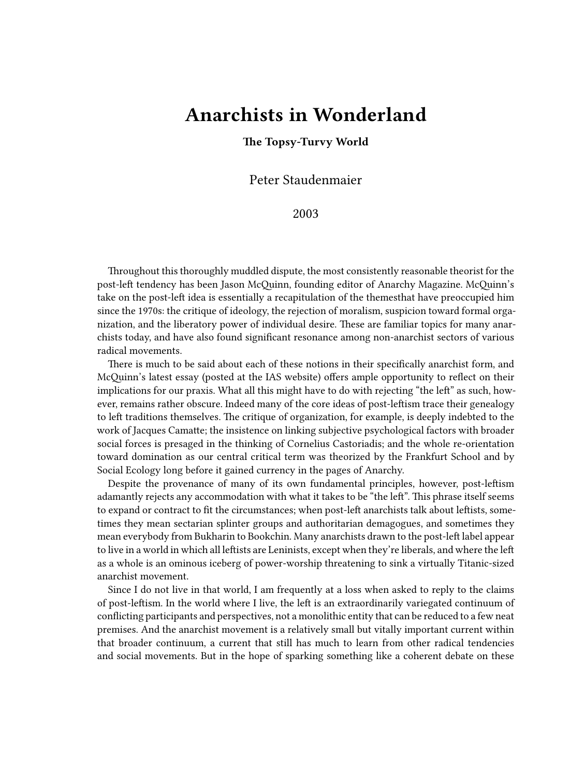## **Anarchists in Wonderland**

## **The Topsy-Turvy World**

Peter Staudenmaier

2003

Throughout this thoroughly muddled dispute, the most consistently reasonable theorist for the post-left tendency has been Jason McQuinn, founding editor of Anarchy Magazine. McQuinn's take on the post-left idea is essentially a recapitulation of the themesthat have preoccupied him since the 1970s: the critique of ideology, the rejection of moralism, suspicion toward formal organization, and the liberatory power of individual desire. These are familiar topics for many anarchists today, and have also found significant resonance among non-anarchist sectors of various radical movements.

There is much to be said about each of these notions in their specifically anarchist form, and McQuinn's latest essay (posted at the IAS website) offers ample opportunity to reflect on their implications for our praxis. What all this might have to do with rejecting "the left" as such, however, remains rather obscure. Indeed many of the core ideas of post-leftism trace their genealogy to left traditions themselves. The critique of organization, for example, is deeply indebted to the work of Jacques Camatte; the insistence on linking subjective psychological factors with broader social forces is presaged in the thinking of Cornelius Castoriadis; and the whole re-orientation toward domination as our central critical term was theorized by the Frankfurt School and by Social Ecology long before it gained currency in the pages of Anarchy.

Despite the provenance of many of its own fundamental principles, however, post-leftism adamantly rejects any accommodation with what it takes to be "the left". This phrase itself seems to expand or contract to fit the circumstances; when post-left anarchists talk about leftists, sometimes they mean sectarian splinter groups and authoritarian demagogues, and sometimes they mean everybody from Bukharin to Bookchin. Many anarchists drawn to the post-left label appear to live in a world in which all leftists are Leninists, except when they're liberals, and where the left as a whole is an ominous iceberg of power-worship threatening to sink a virtually Titanic-sized anarchist movement.

Since I do not live in that world, I am frequently at a loss when asked to reply to the claims of post-leftism. In the world where I live, the left is an extraordinarily variegated continuum of conflicting participants and perspectives, not a monolithic entity that can be reduced to a few neat premises. And the anarchist movement is a relatively small but vitally important current within that broader continuum, a current that still has much to learn from other radical tendencies and social movements. But in the hope of sparking something like a coherent debate on these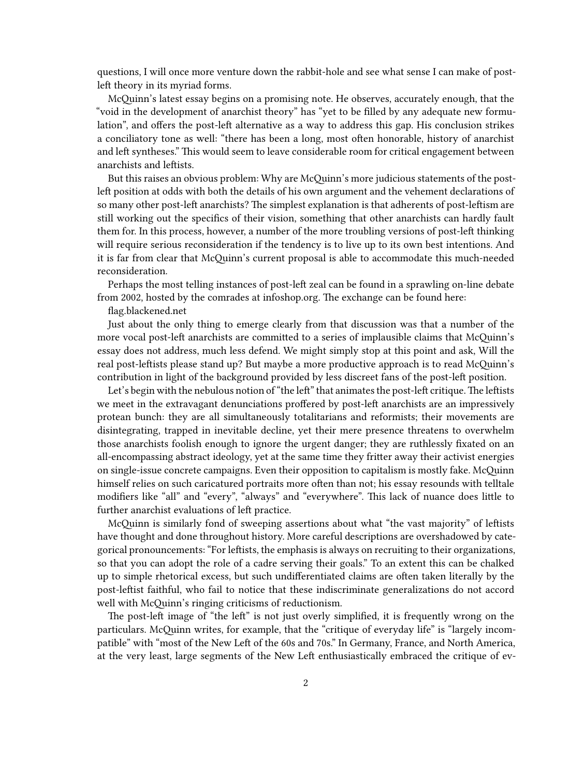questions, I will once more venture down the rabbit-hole and see what sense I can make of postleft theory in its myriad forms.

McQuinn's latest essay begins on a promising note. He observes, accurately enough, that the "void in the development of anarchist theory" has "yet to be filled by any adequate new formulation", and offers the post-left alternative as a way to address this gap. His conclusion strikes a conciliatory tone as well: "there has been a long, most often honorable, history of anarchist and left syntheses." This would seem to leave considerable room for critical engagement between anarchists and leftists.

But this raises an obvious problem: Why are McQuinn's more judicious statements of the postleft position at odds with both the details of his own argument and the vehement declarations of so many other post-left anarchists? The simplest explanation is that adherents of post-leftism are still working out the specifics of their vision, something that other anarchists can hardly fault them for. In this process, however, a number of the more troubling versions of post-left thinking will require serious reconsideration if the tendency is to live up to its own best intentions. And it is far from clear that McQuinn's current proposal is able to accommodate this much-needed reconsideration.

Perhaps the most telling instances of post-left zeal can be found in a sprawling on-line debate from 2002, hosted by the comrades at infoshop.org. The exchange can be found here:

[flag.blackened.net](http://flag.blackened.net/wwwthreads/showflat.php?Cat=&Board=infoshopnew&Number=1255)

Just about the only thing to emerge clearly from that discussion was that a number of the more vocal post-left anarchists are committed to a series of implausible claims that McQuinn's essay does not address, much less defend. We might simply stop at this point and ask, Will the real post-leftists please stand up? But maybe a more productive approach is to read McQuinn's contribution in light of the background provided by less discreet fans of the post-left position.

Let's begin with the nebulous notion of "the left" that animates the post-left critique. The leftists we meet in the extravagant denunciations proffered by post-left anarchists are an impressively protean bunch: they are all simultaneously totalitarians and reformists; their movements are disintegrating, trapped in inevitable decline, yet their mere presence threatens to overwhelm those anarchists foolish enough to ignore the urgent danger; they are ruthlessly fixated on an all-encompassing abstract ideology, yet at the same time they fritter away their activist energies on single-issue concrete campaigns. Even their opposition to capitalism is mostly fake. McQuinn himself relies on such caricatured portraits more often than not; his essay resounds with telltale modifiers like "all" and "every", "always" and "everywhere". This lack of nuance does little to further anarchist evaluations of left practice.

McQuinn is similarly fond of sweeping assertions about what "the vast majority" of leftists have thought and done throughout history. More careful descriptions are overshadowed by categorical pronouncements: "For leftists, the emphasis is always on recruiting to their organizations, so that you can adopt the role of a cadre serving their goals." To an extent this can be chalked up to simple rhetorical excess, but such undifferentiated claims are often taken literally by the post-leftist faithful, who fail to notice that these indiscriminate generalizations do not accord well with McQuinn's ringing criticisms of reductionism.

The post-left image of "the left" is not just overly simplified, it is frequently wrong on the particulars. McQuinn writes, for example, that the "critique of everyday life" is "largely incompatible" with "most of the New Left of the 60s and 70s." In Germany, France, and North America, at the very least, large segments of the New Left enthusiastically embraced the critique of ev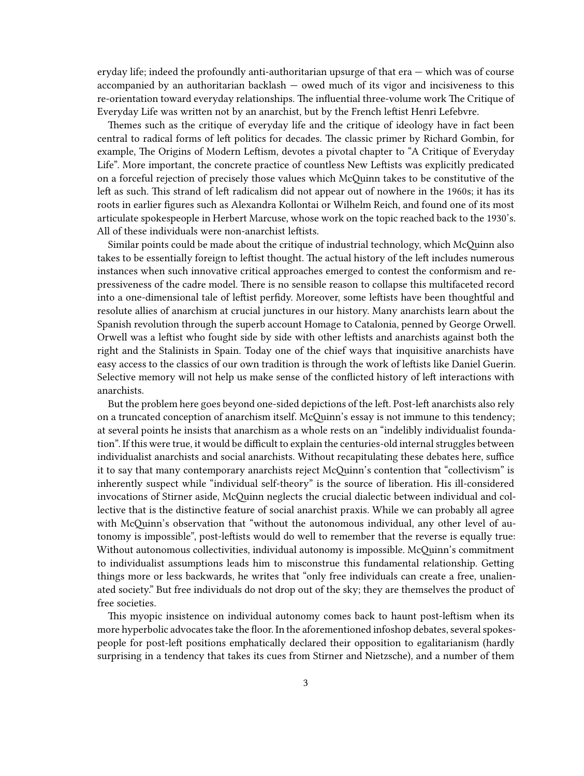eryday life; indeed the profoundly anti-authoritarian upsurge of that era — which was of course accompanied by an authoritarian backlash — owed much of its vigor and incisiveness to this re-orientation toward everyday relationships. The influential three-volume work The Critique of Everyday Life was written not by an anarchist, but by the French leftist Henri Lefebvre.

Themes such as the critique of everyday life and the critique of ideology have in fact been central to radical forms of left politics for decades. The classic primer by Richard Gombin, for example, The Origins of Modern Leftism, devotes a pivotal chapter to "A Critique of Everyday Life". More important, the concrete practice of countless New Leftists was explicitly predicated on a forceful rejection of precisely those values which McQuinn takes to be constitutive of the left as such. This strand of left radicalism did not appear out of nowhere in the 1960s; it has its roots in earlier figures such as Alexandra Kollontai or Wilhelm Reich, and found one of its most articulate spokespeople in Herbert Marcuse, whose work on the topic reached back to the 1930's. All of these individuals were non-anarchist leftists.

Similar points could be made about the critique of industrial technology, which McQuinn also takes to be essentially foreign to leftist thought. The actual history of the left includes numerous instances when such innovative critical approaches emerged to contest the conformism and repressiveness of the cadre model. There is no sensible reason to collapse this multifaceted record into a one-dimensional tale of leftist perfidy. Moreover, some leftists have been thoughtful and resolute allies of anarchism at crucial junctures in our history. Many anarchists learn about the Spanish revolution through the superb account Homage to Catalonia, penned by George Orwell. Orwell was a leftist who fought side by side with other leftists and anarchists against both the right and the Stalinists in Spain. Today one of the chief ways that inquisitive anarchists have easy access to the classics of our own tradition is through the work of leftists like Daniel Guerin. Selective memory will not help us make sense of the conflicted history of left interactions with anarchists.

But the problem here goes beyond one-sided depictions of the left. Post-left anarchists also rely on a truncated conception of anarchism itself. McQuinn's essay is not immune to this tendency; at several points he insists that anarchism as a whole rests on an "indelibly individualist foundation". If this were true, it would be difficult to explain the centuries-old internal struggles between individualist anarchists and social anarchists. Without recapitulating these debates here, suffice it to say that many contemporary anarchists reject McQuinn's contention that "collectivism" is inherently suspect while "individual self-theory" is the source of liberation. His ill-considered invocations of Stirner aside, McQuinn neglects the crucial dialectic between individual and collective that is the distinctive feature of social anarchist praxis. While we can probably all agree with McQuinn's observation that "without the autonomous individual, any other level of autonomy is impossible", post-leftists would do well to remember that the reverse is equally true: Without autonomous collectivities, individual autonomy is impossible. McQuinn's commitment to individualist assumptions leads him to misconstrue this fundamental relationship. Getting things more or less backwards, he writes that "only free individuals can create a free, unalienated society." But free individuals do not drop out of the sky; they are themselves the product of free societies.

This myopic insistence on individual autonomy comes back to haunt post-leftism when its more hyperbolic advocates take the floor. In the aforementioned infoshop debates, several spokespeople for post-left positions emphatically declared their opposition to egalitarianism (hardly surprising in a tendency that takes its cues from Stirner and Nietzsche), and a number of them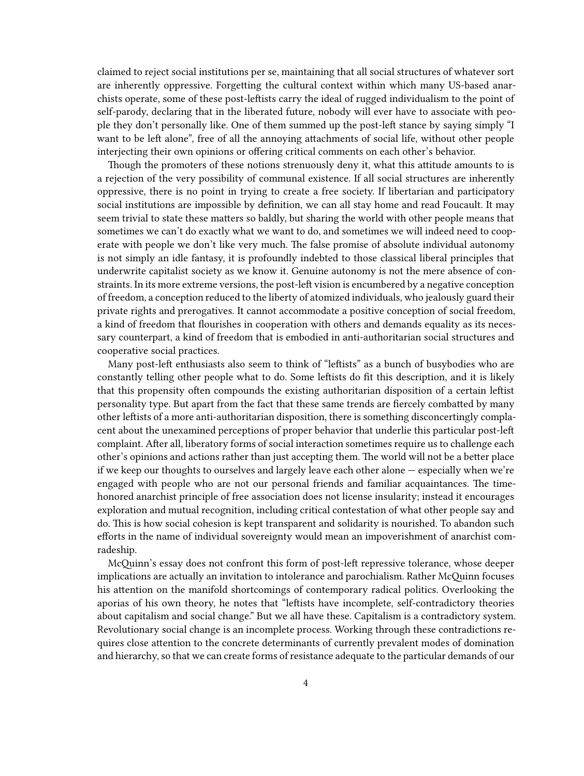claimed to reject social institutions per se, maintaining that all social structures of whatever sort are inherently oppressive. Forgetting the cultural context within which many US-based anarchists operate, some of these post-leftists carry the ideal of rugged individualism to the point of self-parody, declaring that in the liberated future, nobody will ever have to associate with people they don't personally like. One of them summed up the post-left stance by saying simply "I want to be left alone", free of all the annoying attachments of social life, without other people interjecting their own opinions or offering critical comments on each other's behavior.

Though the promoters of these notions strenuously deny it, what this attitude amounts to is a rejection of the very possibility of communal existence. If all social structures are inherently oppressive, there is no point in trying to create a free society. If libertarian and participatory social institutions are impossible by definition, we can all stay home and read Foucault. It may seem trivial to state these matters so baldly, but sharing the world with other people means that sometimes we can't do exactly what we want to do, and sometimes we will indeed need to cooperate with people we don't like very much. The false promise of absolute individual autonomy is not simply an idle fantasy, it is profoundly indebted to those classical liberal principles that underwrite capitalist society as we know it. Genuine autonomy is not the mere absence of constraints. In its more extreme versions, the post-left vision is encumbered by a negative conception of freedom, a conception reduced to the liberty of atomized individuals, who jealously guard their private rights and prerogatives. It cannot accommodate a positive conception of social freedom, a kind of freedom that flourishes in cooperation with others and demands equality as its necessary counterpart, a kind of freedom that is embodied in anti-authoritarian social structures and cooperative social practices.

Many post-left enthusiasts also seem to think of "leftists" as a bunch of busybodies who are constantly telling other people what to do. Some leftists do fit this description, and it is likely that this propensity often compounds the existing authoritarian disposition of a certain leftist personality type. But apart from the fact that these same trends are fiercely combatted by many other leftists of a more anti-authoritarian disposition, there is something disconcertingly complacent about the unexamined perceptions of proper behavior that underlie this particular post-left complaint. After all, liberatory forms of social interaction sometimes require us to challenge each other's opinions and actions rather than just accepting them. The world will not be a better place if we keep our thoughts to ourselves and largely leave each other alone — especially when we're engaged with people who are not our personal friends and familiar acquaintances. The timehonored anarchist principle of free association does not license insularity; instead it encourages exploration and mutual recognition, including critical contestation of what other people say and do. This is how social cohesion is kept transparent and solidarity is nourished. To abandon such efforts in the name of individual sovereignty would mean an impoverishment of anarchist comradeship.

McQuinn's essay does not confront this form of post-left repressive tolerance, whose deeper implications are actually an invitation to intolerance and parochialism. Rather McQuinn focuses his attention on the manifold shortcomings of contemporary radical politics. Overlooking the aporias of his own theory, he notes that "leftists have incomplete, self-contradictory theories about capitalism and social change." But we all have these. Capitalism is a contradictory system. Revolutionary social change is an incomplete process. Working through these contradictions requires close attention to the concrete determinants of currently prevalent modes of domination and hierarchy, so that we can create forms of resistance adequate to the particular demands of our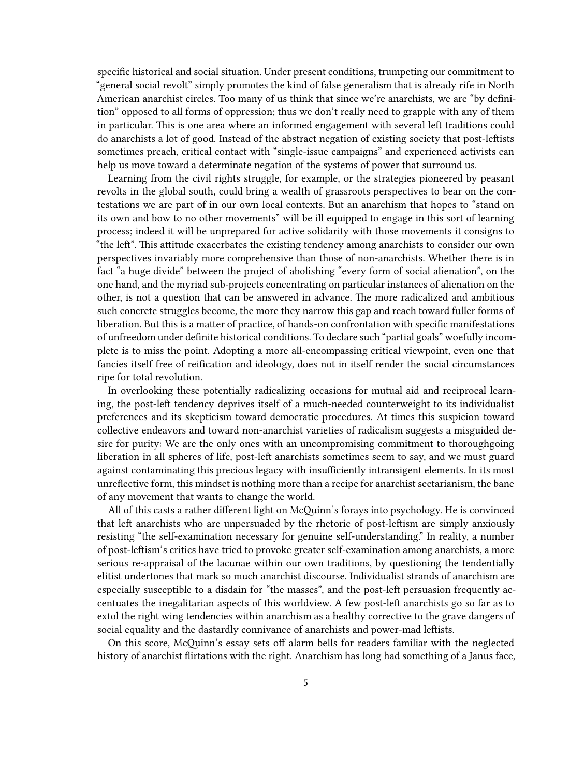specific historical and social situation. Under present conditions, trumpeting our commitment to "general social revolt" simply promotes the kind of false generalism that is already rife in North American anarchist circles. Too many of us think that since we're anarchists, we are "by definition" opposed to all forms of oppression; thus we don't really need to grapple with any of them in particular. This is one area where an informed engagement with several left traditions could do anarchists a lot of good. Instead of the abstract negation of existing society that post-leftists sometimes preach, critical contact with "single-issue campaigns" and experienced activists can help us move toward a determinate negation of the systems of power that surround us.

Learning from the civil rights struggle, for example, or the strategies pioneered by peasant revolts in the global south, could bring a wealth of grassroots perspectives to bear on the contestations we are part of in our own local contexts. But an anarchism that hopes to "stand on its own and bow to no other movements" will be ill equipped to engage in this sort of learning process; indeed it will be unprepared for active solidarity with those movements it consigns to "the left". This attitude exacerbates the existing tendency among anarchists to consider our own perspectives invariably more comprehensive than those of non-anarchists. Whether there is in fact "a huge divide" between the project of abolishing "every form of social alienation", on the one hand, and the myriad sub-projects concentrating on particular instances of alienation on the other, is not a question that can be answered in advance. The more radicalized and ambitious such concrete struggles become, the more they narrow this gap and reach toward fuller forms of liberation. But this is a matter of practice, of hands-on confrontation with specific manifestations of unfreedom under definite historical conditions. To declare such "partial goals" woefully incomplete is to miss the point. Adopting a more all-encompassing critical viewpoint, even one that fancies itself free of reification and ideology, does not in itself render the social circumstances ripe for total revolution.

In overlooking these potentially radicalizing occasions for mutual aid and reciprocal learning, the post-left tendency deprives itself of a much-needed counterweight to its individualist preferences and its skepticism toward democratic procedures. At times this suspicion toward collective endeavors and toward non-anarchist varieties of radicalism suggests a misguided desire for purity: We are the only ones with an uncompromising commitment to thoroughgoing liberation in all spheres of life, post-left anarchists sometimes seem to say, and we must guard against contaminating this precious legacy with insufficiently intransigent elements. In its most unreflective form, this mindset is nothing more than a recipe for anarchist sectarianism, the bane of any movement that wants to change the world.

All of this casts a rather different light on McQuinn's forays into psychology. He is convinced that left anarchists who are unpersuaded by the rhetoric of post-leftism are simply anxiously resisting "the self-examination necessary for genuine self-understanding." In reality, a number of post-leftism's critics have tried to provoke greater self-examination among anarchists, a more serious re-appraisal of the lacunae within our own traditions, by questioning the tendentially elitist undertones that mark so much anarchist discourse. Individualist strands of anarchism are especially susceptible to a disdain for "the masses", and the post-left persuasion frequently accentuates the inegalitarian aspects of this worldview. A few post-left anarchists go so far as to extol the right wing tendencies within anarchism as a healthy corrective to the grave dangers of social equality and the dastardly connivance of anarchists and power-mad leftists.

On this score, McQuinn's essay sets off alarm bells for readers familiar with the neglected history of anarchist flirtations with the right. Anarchism has long had something of a Janus face,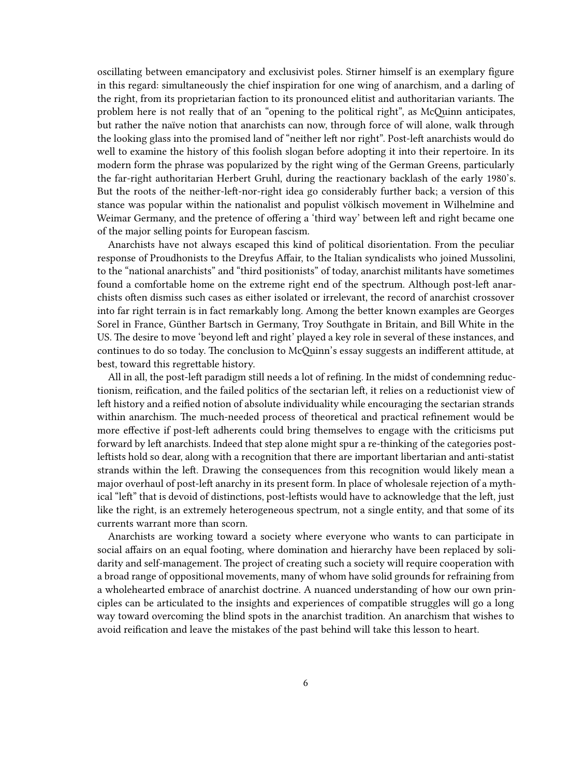oscillating between emancipatory and exclusivist poles. Stirner himself is an exemplary figure in this regard: simultaneously the chief inspiration for one wing of anarchism, and a darling of the right, from its proprietarian faction to its pronounced elitist and authoritarian variants. The problem here is not really that of an "opening to the political right", as McQuinn anticipates, but rather the naïve notion that anarchists can now, through force of will alone, walk through the looking glass into the promised land of "neither left nor right". Post-left anarchists would do well to examine the history of this foolish slogan before adopting it into their repertoire. In its modern form the phrase was popularized by the right wing of the German Greens, particularly the far-right authoritarian Herbert Gruhl, during the reactionary backlash of the early 1980's. But the roots of the neither-left-nor-right idea go considerably further back; a version of this stance was popular within the nationalist and populist völkisch movement in Wilhelmine and Weimar Germany, and the pretence of offering a 'third way' between left and right became one of the major selling points for European fascism.

Anarchists have not always escaped this kind of political disorientation. From the peculiar response of Proudhonists to the Dreyfus Affair, to the Italian syndicalists who joined Mussolini, to the "national anarchists" and "third positionists" of today, anarchist militants have sometimes found a comfortable home on the extreme right end of the spectrum. Although post-left anarchists often dismiss such cases as either isolated or irrelevant, the record of anarchist crossover into far right terrain is in fact remarkably long. Among the better known examples are Georges Sorel in France, Günther Bartsch in Germany, Troy Southgate in Britain, and Bill White in the US. The desire to move 'beyond left and right' played a key role in several of these instances, and continues to do so today. The conclusion to McQuinn's essay suggests an indifferent attitude, at best, toward this regrettable history.

All in all, the post-left paradigm still needs a lot of refining. In the midst of condemning reductionism, reification, and the failed politics of the sectarian left, it relies on a reductionist view of left history and a reified notion of absolute individuality while encouraging the sectarian strands within anarchism. The much-needed process of theoretical and practical refinement would be more effective if post-left adherents could bring themselves to engage with the criticisms put forward by left anarchists. Indeed that step alone might spur a re-thinking of the categories postleftists hold so dear, along with a recognition that there are important libertarian and anti-statist strands within the left. Drawing the consequences from this recognition would likely mean a major overhaul of post-left anarchy in its present form. In place of wholesale rejection of a mythical "left" that is devoid of distinctions, post-leftists would have to acknowledge that the left, just like the right, is an extremely heterogeneous spectrum, not a single entity, and that some of its currents warrant more than scorn.

Anarchists are working toward a society where everyone who wants to can participate in social affairs on an equal footing, where domination and hierarchy have been replaced by solidarity and self-management. The project of creating such a society will require cooperation with a broad range of oppositional movements, many of whom have solid grounds for refraining from a wholehearted embrace of anarchist doctrine. A nuanced understanding of how our own principles can be articulated to the insights and experiences of compatible struggles will go a long way toward overcoming the blind spots in the anarchist tradition. An anarchism that wishes to avoid reification and leave the mistakes of the past behind will take this lesson to heart.